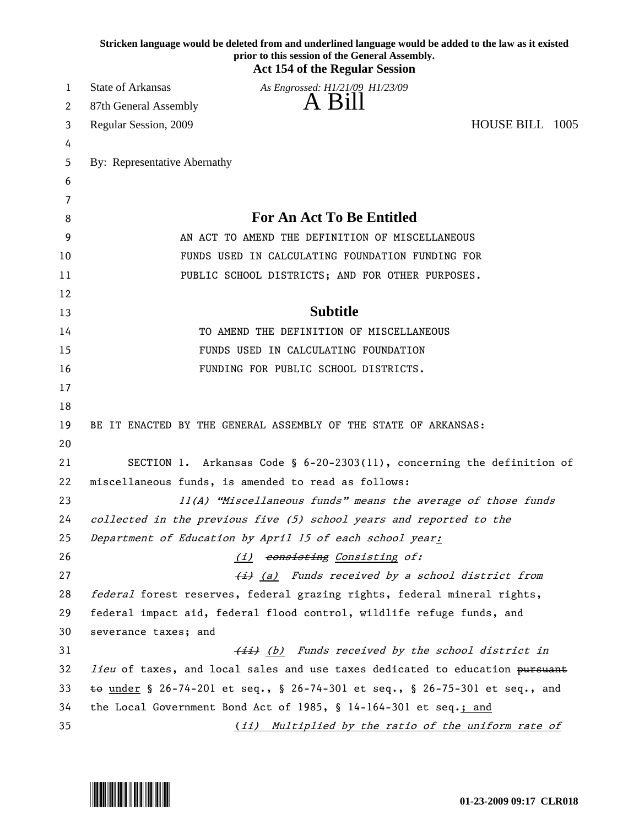|    | Stricken language would be deleted from and underlined language would be added to the law as it existed<br>prior to this session of the General Assembly.<br><b>Act 154 of the Regular Session</b> |  |
|----|----------------------------------------------------------------------------------------------------------------------------------------------------------------------------------------------------|--|
| 1  | State of Arkansas<br>As Engrossed: H1/21/09 H1/23/09                                                                                                                                               |  |
| 2  | A Bill<br>87th General Assembly                                                                                                                                                                    |  |
| 3  | HOUSE BILL 1005<br>Regular Session, 2009                                                                                                                                                           |  |
| 4  |                                                                                                                                                                                                    |  |
| 5  | By: Representative Abernathy                                                                                                                                                                       |  |
| 6  |                                                                                                                                                                                                    |  |
| 7  |                                                                                                                                                                                                    |  |
| 8  | <b>For An Act To Be Entitled</b>                                                                                                                                                                   |  |
| 9  | AN ACT TO AMEND THE DEFINITION OF MISCELLANEOUS                                                                                                                                                    |  |
| 10 | FUNDS USED IN CALCULATING FOUNDATION FUNDING FOR                                                                                                                                                   |  |
| 11 | PUBLIC SCHOOL DISTRICTS; AND FOR OTHER PURPOSES.                                                                                                                                                   |  |
| 12 |                                                                                                                                                                                                    |  |
| 13 | <b>Subtitle</b>                                                                                                                                                                                    |  |
| 14 | TO AMEND THE DEFINITION OF MISCELLANEOUS                                                                                                                                                           |  |
| 15 | FUNDS USED IN CALCULATING FOUNDATION                                                                                                                                                               |  |
| 16 | FUNDING FOR PUBLIC SCHOOL DISTRICTS.                                                                                                                                                               |  |
| 17 |                                                                                                                                                                                                    |  |
| 18 |                                                                                                                                                                                                    |  |
| 19 | BE IT ENACTED BY THE GENERAL ASSEMBLY OF THE STATE OF ARKANSAS:                                                                                                                                    |  |
| 20 |                                                                                                                                                                                                    |  |
| 21 | SECTION 1. Arkansas Code § 6-20-2303(11), concerning the definition of                                                                                                                             |  |
| 22 | miscellaneous funds, is amended to read as follows:                                                                                                                                                |  |
| 23 | 11(A) "Miscellaneous funds" means the average of those funds                                                                                                                                       |  |
| 24 | collected in the previous five (5) school years and reported to the                                                                                                                                |  |
| 25 | Department of Education by April 15 of each school year:                                                                                                                                           |  |
| 26 | (i) consisting Consisting of:                                                                                                                                                                      |  |
| 27 | (a) Funds received by a school district from                                                                                                                                                       |  |
| 28 | federal forest reserves, federal grazing rights, federal mineral rights,                                                                                                                           |  |
| 29 | federal impact aid, federal flood control, wildlife refuge funds, and                                                                                                                              |  |
| 30 | severance taxes; and                                                                                                                                                                               |  |
| 31 | (ii) (b) Funds received by the school district in                                                                                                                                                  |  |
| 32 | <i>lieu</i> of taxes, and local sales and use taxes dedicated to education pursuant                                                                                                                |  |
| 33 | $\pm$ o under § 26-74-201 et seq., § 26-74-301 et seq., § 26-75-301 et seq., and                                                                                                                   |  |
| 34 | the Local Government Bond Act of 1985, § 14-164-301 et seq.; and                                                                                                                                   |  |
| 35 | (ii) Multiplied by the ratio of the uniform rate of                                                                                                                                                |  |